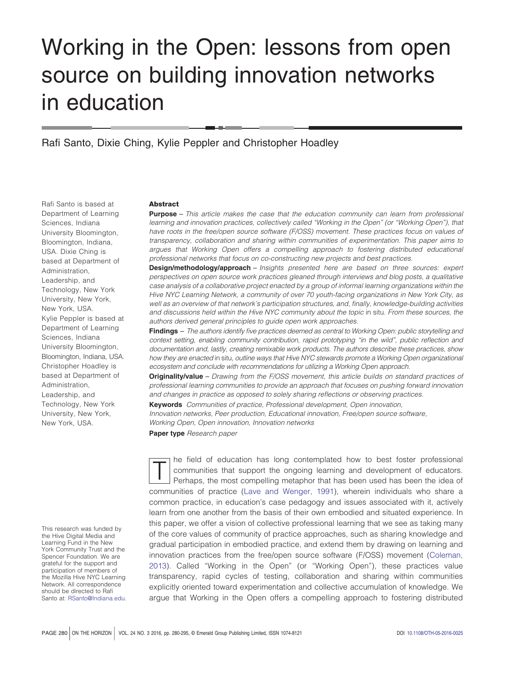# Working in the Open: lessons from open source on building innovation networks in education

Rafi Santo, Dixie Ching, Kylie Peppler and Christopher Hoadley

Department of Learning Sciences, Indiana University Bloomington, Bloomington, Indiana, USA. Dixie Ching is based at Department of Administration, Leadership, and Technology, New York University, New York, New York, USA. Kylie Peppler is based at Department of Learning Sciences, Indiana University Bloomington, Bloomington, Indiana, USA. Christopher Hoadley is based at Department of

Administration, Leadership, and Technology, New York University, New York, New York, USA.

Rafi Santo is based at

**Abstract**

**Purpose** – *This article makes the case that the education community can learn from professional learning and innovation practices, collectively called "Working in the Open" (or "Working Open"), that have roots in the free/open source software (F/OSS) movement. These practices focus on values of transparency, collaboration and sharing within communities of experimentation. This paper aims to argues that Working Open offers a compelling approach to fostering distributed educational professional networks that focus on co-constructing new projects and best practices.*

**Design/methodology/approach** – *Insights presented here are based on three sources: expert perspectives on open source work practices gleaned through interviews and blog posts, a qualitative case analysis of a collaborative project enacted by a group of informal learning organizations within the Hive NYC Learning Network, a community of over 70 youth-facing organizations in New York City, as well as an overview of that network's participation structures, and, finally, knowledge-building activities and discussions held within the Hive NYC community about the topic* in situ*. From these sources, the authors derived general principles to guide open work approaches.*

**Findings** – *The authors identify five practices deemed as central to Working Open: public storytelling and context setting, enabling community contribution, rapid prototyping "in the wild", public reflection and documentation and, lastly, creating remixable work products. The authors describe these practices, show how they are enacted* in situ*, outline ways that Hive NYC stewards promote a Working Open organizational ecosystem and conclude with recommendations for utilizing a Working Open approach.*

**Originality/value** – *Drawing from the F/OSS movement, this article builds on standard practices of professional learning communities to provide an approach that focuses on pushing forward innovation and changes in practice as opposed to solely sharing reflections or observing practices.*

**Keywords** *Communities of practice, Professional development, Open innovation, Innovation networks, Peer production, Educational innovation, Free/open source software,*

*Working Open, Open innovation, Innovation networks*

**Paper type** *Research paper*

This research was funded by the Hive Digital Media and Learning Fund in the New York Community Trust and the Spencer Foundation. We are grateful for the support and participation of members of the Mozilla Hive NYC Learning Network. All correspondence should be directed to Rafi Santo at: [RSanto@Indiana.edu.](mailto:RSanto@Indiana.edu)

T are field of education has long contemplated how to best foster professional<br>communities that support the ongoing learning and development of educators.<br>Perhaps, the most compelling metaphor that has been used has been t communities that support the ongoing learning and development of educators. Perhaps, the most compelling metaphor that has been used has been the idea of communities of practice [\(Lave and Wenger, 1991\)](#page-14-0), wherein individuals who share a common practice, in education's case pedagogy and issues associated with it, actively learn from one another from the basis of their own embodied and situated experience. In this paper, we offer a vision of collective professional learning that we see as taking many of the core values of community of practice approaches, such as sharing knowledge and gradual participation in embodied practice, and extend them by drawing on learning and innovation practices from the free/open source software (F/OSS) movement [\(Coleman,](#page-14-1) [2013\)](#page-14-1). Called "Working in the Open" (or "Working Open"), these practices value transparency, rapid cycles of testing, collaboration and sharing within communities explicitly oriented toward experimentation and collective accumulation of knowledge. We argue that Working in the Open offers a compelling approach to fostering distributed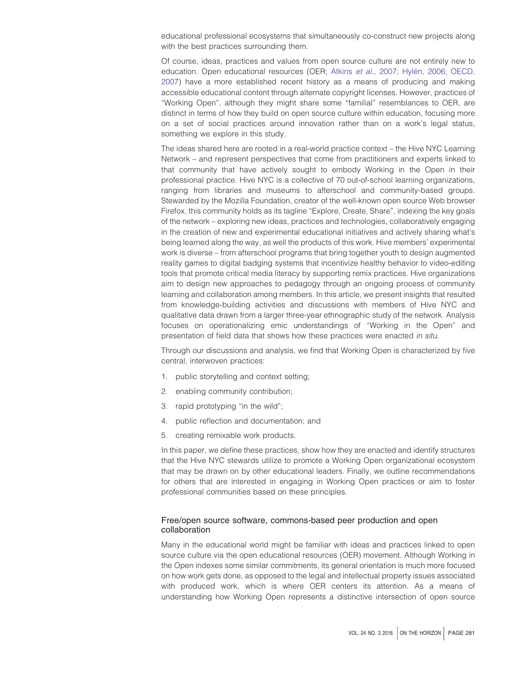educational professional ecosystems that simultaneously co-construct new projects along with the best practices surrounding them.

Of course, ideas, practices and values from open source culture are not entirely new to education. Open educational resources (OER; Atkins *et al.*[, 2007;](#page-14-2) [Hylén, 2006;](#page-14-3) [OECD,](#page-15-0) [2007\)](#page-15-0) have a more established recent history as a means of producing and making accessible educational content through alternate copyright licenses. However, practices of "Working Open", although they might share some "familial" resemblances to OER, are distinct in terms of how they build on open source culture within education, focusing more on a set of social practices around innovation rather than on a work's legal status, something we explore in this study.

The ideas shared here are rooted in a real-world practice context – the Hive NYC Learning Network – and represent perspectives that come from practitioners and experts linked to that community that have actively sought to embody Working in the Open in their professional practice. Hive NYC is a collective of 70 out-of-school learning organizations, ranging from libraries and museums to afterschool and community-based groups. Stewarded by the Mozilla Foundation, creator of the well-known open source Web browser Firefox, this community holds as its tagline "Explore, Create, Share", indexing the key goals of the network – exploring new ideas, practices and technologies, collaboratively engaging in the creation of new and experimental educational initiatives and actively sharing what's being learned along the way, as well the products of this work. Hive members' experimental work is diverse – from afterschool programs that bring together youth to design augmented reality games to digital badging systems that incentivize healthy behavior to video-editing tools that promote critical media literacy by supporting remix practices. Hive organizations aim to design new approaches to pedagogy through an ongoing process of community learning and collaboration among members. In this article, we present insights that resulted from knowledge-building activities and discussions with members of Hive NYC and qualitative data drawn from a larger three-year ethnographic study of the network. Analysis focuses on operationalizing emic understandings of "Working in the Open" and presentation of field data that shows how these practices were enacted *in situ*.

Through our discussions and analysis, we find that Working Open is characterized by five central, interwoven practices:

- 1. public storytelling and context setting;
- 2. enabling community contribution;
- 3. rapid prototyping "in the wild";
- 4. public reflection and documentation; and
- 5. creating remixable work products.

In this paper, we define these practices, show how they are enacted and identify structures that the Hive NYC stewards utilize to promote a Working Open organizational ecosystem that may be drawn on by other educational leaders. Finally, we outline recommendations for others that are interested in engaging in Working Open practices or aim to foster professional communities based on these principles.

# Free/open source software, commons-based peer production and open collaboration

Many in the educational world might be familiar with ideas and practices linked to open source culture via the open educational resources (OER) movement. Although Working in the Open indexes some similar commitments, its general orientation is much more focused on how work gets done, as opposed to the legal and intellectual property issues associated with produced work, which is where OER centers its attention. As a means of understanding how Working Open represents a distinctive intersection of open source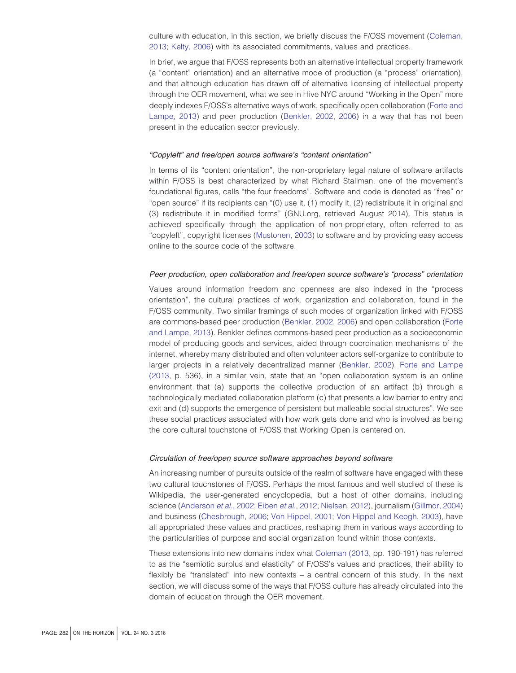culture with education, in this section, we briefly discuss the F/OSS movement [\(Coleman,](#page-14-1) [2013;](#page-14-1) [Kelty, 2006\)](#page-14-4) with its associated commitments, values and practices.

In brief, we argue that F/OSS represents both an alternative intellectual property framework (a "content" orientation) and an alternative mode of production (a "process" orientation), and that although education has drawn off of alternative licensing of intellectual property through the OER movement, what we see in Hive NYC around "Working in the Open" more deeply indexes F/OSS's alternative ways of work, specifically open collaboration [\(Forte and](#page-14-5) [Lampe, 2013\)](#page-14-5) and peer production [\(Benkler, 2002,](#page-14-6) [2006\)](#page-14-7) in a way that has not been present in the education sector previously.

#### *"Copyleft" and free/open source software's "content orientation"*

In terms of its "content orientation", the non-proprietary legal nature of software artifacts within F/OSS is best characterized by what Richard Stallman, one of the movement's foundational figures, calls "the four freedoms". Software and code is denoted as "free" or "open source" if its recipients can "(0) use it, (1) modify it, (2) redistribute it in original and (3) redistribute it in modified forms" (GNU.org, retrieved August 2014). This status is achieved specifically through the application of non-proprietary, often referred to as "copyleft", copyright licenses [\(Mustonen, 2003\)](#page-14-8) to software and by providing easy access online to the source code of the software.

#### *Peer production, open collaboration and free/open source software's "process" orientation*

Values around information freedom and openness are also indexed in the "process orientation", the cultural practices of work, organization and collaboration, found in the F/OSS community. Two similar framings of such modes of organization linked with F/OSS are commons-based peer production [\(Benkler, 2002,](#page-14-6) [2006\)](#page-14-7) and open collaboration [\(Forte](#page-14-5) [and Lampe, 2013\)](#page-14-5). Benkler defines commons-based peer production as a socioeconomic model of producing goods and services, aided through coordination mechanisms of the internet, whereby many distributed and often volunteer actors self-organize to contribute to larger projects in a relatively decentralized manner [\(Benkler, 2002\)](#page-14-6). [Forte and Lampe](#page-14-5) [\(2013,](#page-14-5) p. 536), in a similar vein, state that an "open collaboration system is an online environment that (a) supports the collective production of an artifact (b) through a technologically mediated collaboration platform (c) that presents a low barrier to entry and exit and (d) supports the emergence of persistent but malleable social structures". We see these social practices associated with how work gets done and who is involved as being the core cultural touchstone of F/OSS that Working Open is centered on.

#### *Circulation of free/open source software approaches beyond software*

An increasing number of pursuits outside of the realm of software have engaged with these two cultural touchstones of F/OSS. Perhaps the most famous and well studied of these is Wikipedia, the user-generated encyclopedia, but a host of other domains, including science [\(Anderson](#page-14-9) *et al.*, 2002; Eiben *et al*[., 2012;](#page-14-10) [Nielsen, 2012\)](#page-15-1), journalism [\(Gillmor, 2004\)](#page-14-11) and business [\(Chesbrough, 2006;](#page-14-12) [Von Hippel, 2001;](#page-15-2) [Von Hippel and Keogh, 2003\)](#page-15-3), have all appropriated these values and practices, reshaping them in various ways according to the particularities of purpose and social organization found within those contexts.

These extensions into new domains index what [Coleman \(2013,](#page-14-1) pp. 190-191) has referred to as the "semiotic surplus and elasticity" of F/OSS's values and practices, their ability to flexibly be "translated" into new contexts  $-$  a central concern of this study. In the next section, we will discuss some of the ways that F/OSS culture has already circulated into the domain of education through the OER movement.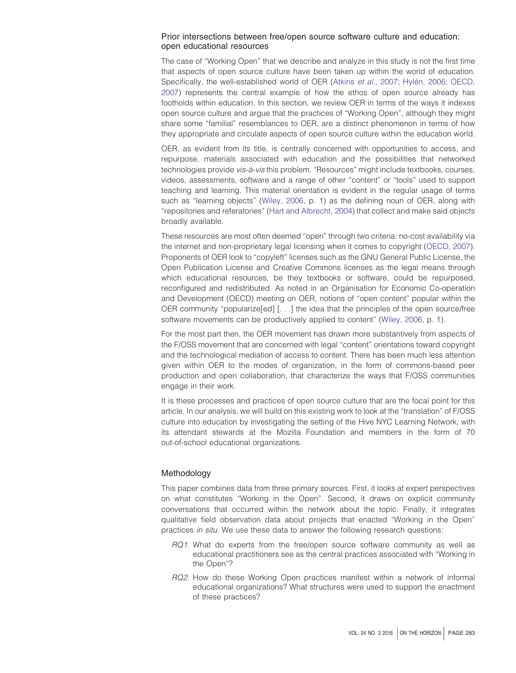# Prior intersections between free/open source software culture and education: open educational resources

The case of "Working Open" that we describe and analyze in this study is not the first time that aspects of open source culture have been taken up within the world of education. Specifically, the well-established world of OER (Atkins *et al.*[, 2007;](#page-14-2) [Hylén, 2006;](#page-14-3) [OECD,](#page-15-0) [2007\)](#page-15-0) represents the central example of how the ethos of open source already has footholds within education. In this section, we review OER in terms of the ways it indexes open source culture and argue that the practices of "Working Open", although they might share some "familial" resemblances to OER, are a distinct phenomenon in terms of how they appropriate and circulate aspects of open source culture within the education world.

OER, as evident from its title, is centrally concerned with opportunities to access, and repurpose, materials associated with education and the possibilities that networked technologies provide *vis-a`-vis* this problem. "Resources" might include textbooks, courses, videos, assessments, software and a range of other "content" or "tools" used to support teaching and learning. This material orientation is evident in the regular usage of terms such as "learning objects" [\(Wiley, 2006,](#page-15-4) p. 1) as the defining noun of OER, along with "repositories and referatories" [\(Hart and Albrecht, 2004\)](#page-14-13) that collect and make said objects broadly available.

These resources are most often deemed "open" through two criteria: no-cost availability via the internet and non-proprietary legal licensing when it comes to copyright [\(OECD, 2007\)](#page-15-0). Proponents of OER look to "copyleft" licenses such as the GNU General Public License, the Open Publication License and Creative Commons licenses as the legal means through which educational resources, be they textbooks or software, could be repurposed, reconfigured and redistributed. As noted in an Organisation for Economic Co-operation and Development (OECD) meeting on OER, notions of "open content" popular within the OER community "popularize[ed] [. . .] the idea that the principles of the open source/free software movements can be productively applied to content" [\(Wiley, 2006,](#page-15-4) p. 1).

For the most part then, the OER movement has drawn more substantively from aspects of the F/OSS movement that are concerned with legal "content" orientations toward copyright and the technological mediation of access to content. There has been much less attention given within OER to the modes of organization, in the form of commons-based peer production and open collaboration, that characterize the ways that F/OSS communities engage in their work.

It is these processes and practices of open source culture that are the focal point for this article. In our analysis, we will build on this existing work to look at the "translation" of F/OSS culture into education by investigating the setting of the Hive NYC Learning Network, with its attendant stewards at the Mozilla Foundation and members in the form of 70 out-of-school educational organizations.

# Methodology

This paper combines data from three primary sources. First, it looks at expert perspectives on what constitutes "Working in the Open". Second, it draws on explicit community conversations that occurred within the network about the topic. Finally, it integrates qualitative field observation data about projects that enacted "Working in the Open" practices *in situ*. We use these data to answer the following research questions:

- *RQ1*. What do experts from the free/open source software community as well as educational practitioners see as the central practices associated with "Working in the Open"?
- *RQ2*. How do these Working Open practices manifest within a network of informal educational organizations? What structures were used to support the enactment of these practices?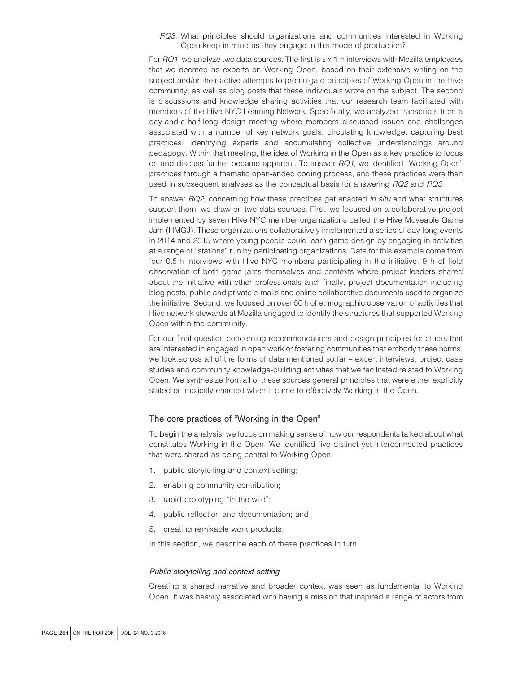*RQ3*. What principles should organizations and communities interested in Working Open keep in mind as they engage in this mode of production?

For *RQ1*, we analyze two data sources. The first is six 1-h interviews with Mozilla employees that we deemed as experts on Working Open, based on their extensive writing on the subject and/or their active attempts to promulgate principles of Working Open in the Hive community, as well as blog posts that these individuals wrote on the subject. The second is discussions and knowledge sharing activities that our research team facilitated with members of the Hive NYC Learning Network. Specifically, we analyzed transcripts from a day-and-a-half-long design meeting where members discussed issues and challenges associated with a number of key network goals: circulating knowledge, capturing best practices, identifying experts and accumulating collective understandings around pedagogy. Within that meeting, the idea of Working in the Open as a key practice to focus on and discuss further became apparent. To answer *RQ1*, we identified "Working Open" practices through a thematic open-ended coding process, and these practices were then used in subsequent analyses as the conceptual basis for answering *RQ2* and *RQ3*.

To answer *RQ2*, concerning how these practices get enacted *in situ* and what structures support them, we draw on two data sources. First, we focused on a collaborative project implemented by seven Hive NYC member organizations called the Hive Moveable Game Jam (HMGJ). These organizations collaboratively implemented a series of day-long events in 2014 and 2015 where young people could learn game design by engaging in activities at a range of "stations" run by participating organizations. Data for this example come from four 0.5-h interviews with Hive NYC members participating in the initiative, 9 h of field observation of both game jams themselves and contexts where project leaders shared about the initiative with other professionals and, finally, project documentation including blog posts, public and private e-mails and online collaborative documents used to organize the initiative. Second, we focused on over 50 h of ethnographic observation of activities that Hive network stewards at Mozilla engaged to identify the structures that supported Working Open within the community.

For our final question concerning recommendations and design principles for others that are interested in engaged in open work or fostering communities that embody these norms, we look across all of the forms of data mentioned so far – expert interviews, project case studies and community knowledge-building activities that we facilitated related to Working Open. We synthesize from all of these sources general principles that were either explicitly stated or implicitly enacted when it came to effectively Working in the Open.

# The core practices of "Working in the Open"

To begin the analysis, we focus on making sense of how our respondents talked about what constitutes Working in the Open. We identified five distinct yet interconnected practices that were shared as being central to Working Open:

- 1. public storytelling and context setting;
- 2. enabling community contribution;
- 3. rapid prototyping "in the wild";
- 4. public reflection and documentation; and
- 5. creating remixable work products.

In this section, we describe each of these practices in turn.

#### *Public storytelling and context setting*

Creating a shared narrative and broader context was seen as fundamental to Working Open. It was heavily associated with having a mission that inspired a range of actors from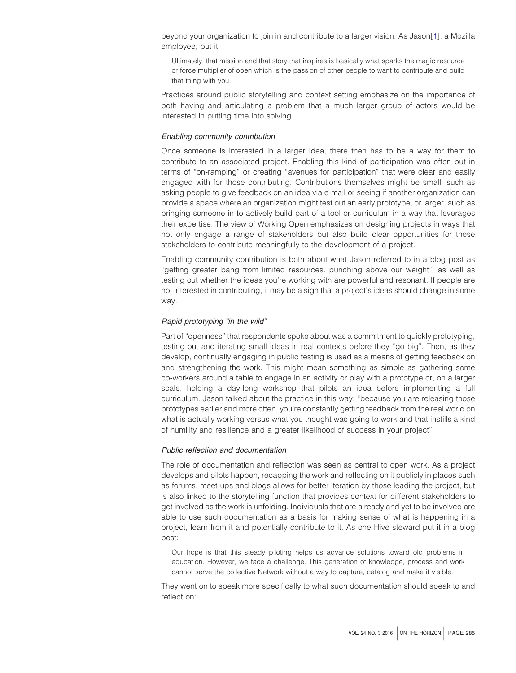beyond your organization to join in and contribute to a larger vision. As Jason[\[1\]](#page-14-14), a Mozilla employee, put it:

Ultimately, that mission and that story that inspires is basically what sparks the magic resource or force multiplier of open which is the passion of other people to want to contribute and build that thing with you.

Practices around public storytelling and context setting emphasize on the importance of both having and articulating a problem that a much larger group of actors would be interested in putting time into solving.

# *Enabling community contribution*

Once someone is interested in a larger idea, there then has to be a way for them to contribute to an associated project. Enabling this kind of participation was often put in terms of "on-ramping" or creating "avenues for participation" that were clear and easily engaged with for those contributing. Contributions themselves might be small, such as asking people to give feedback on an idea via e-mail or seeing if another organization can provide a space where an organization might test out an early prototype, or larger, such as bringing someone in to actively build part of a tool or curriculum in a way that leverages their expertise. The view of Working Open emphasizes on designing projects in ways that not only engage a range of stakeholders but also build clear opportunities for these stakeholders to contribute meaningfully to the development of a project.

Enabling community contribution is both about what Jason referred to in a blog post as "getting greater bang from limited resources. punching above our weight", as well as testing out whether the ideas you're working with are powerful and resonant. If people are not interested in contributing, it may be a sign that a project's ideas should change in some way.

# *Rapid prototyping "in the wild"*

Part of "openness" that respondents spoke about was a commitment to quickly prototyping, testing out and iterating small ideas in real contexts before they "go big". Then, as they develop, continually engaging in public testing is used as a means of getting feedback on and strengthening the work. This might mean something as simple as gathering some co-workers around a table to engage in an activity or play with a prototype or, on a larger scale, holding a day-long workshop that pilots an idea before implementing a full curriculum. Jason talked about the practice in this way: "because you are releasing those prototypes earlier and more often, you're constantly getting feedback from the real world on what is actually working versus what you thought was going to work and that instills a kind of humility and resilience and a greater likelihood of success in your project".

#### *Public reflection and documentation*

The role of documentation and reflection was seen as central to open work. As a project develops and pilots happen, recapping the work and reflecting on it publicly in places such as forums, meet-ups and blogs allows for better iteration by those leading the project, but is also linked to the storytelling function that provides context for different stakeholders to get involved as the work is unfolding. Individuals that are already and yet to be involved are able to use such documentation as a basis for making sense of what is happening in a project, learn from it and potentially contribute to it. As one Hive steward put it in a blog post:

Our hope is that this steady piloting helps us advance solutions toward old problems in education. However, we face a challenge. This generation of knowledge, process and work cannot serve the collective Network without a way to capture, catalog and make it visible.

They went on to speak more specifically to what such documentation should speak to and reflect on: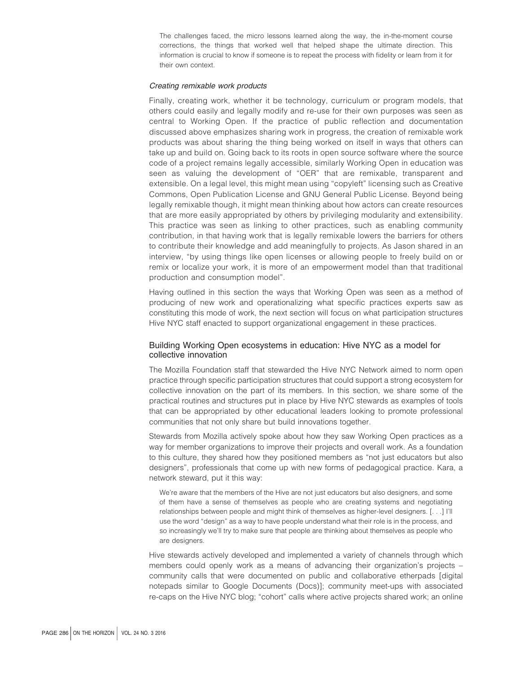The challenges faced, the micro lessons learned along the way, the in-the-moment course corrections, the things that worked well that helped shape the ultimate direction. This information is crucial to know if someone is to repeat the process with fidelity or learn from it for their own context.

#### *Creating remixable work products*

Finally, creating work, whether it be technology, curriculum or program models, that others could easily and legally modify and re-use for their own purposes was seen as central to Working Open. If the practice of public reflection and documentation discussed above emphasizes sharing work in progress, the creation of remixable work products was about sharing the thing being worked on itself in ways that others can take up and build on. Going back to its roots in open source software where the source code of a project remains legally accessible, similarly Working Open in education was seen as valuing the development of "OER" that are remixable, transparent and extensible. On a legal level, this might mean using "copyleft" licensing such as Creative Commons, Open Publication License and GNU General Public License. Beyond being legally remixable though, it might mean thinking about how actors can create resources that are more easily appropriated by others by privileging modularity and extensibility. This practice was seen as linking to other practices, such as enabling community contribution, in that having work that is legally remixable lowers the barriers for others to contribute their knowledge and add meaningfully to projects. As Jason shared in an interview, "by using things like open licenses or allowing people to freely build on or remix or localize your work, it is more of an empowerment model than that traditional production and consumption model".

Having outlined in this section the ways that Working Open was seen as a method of producing of new work and operationalizing what specific practices experts saw as constituting this mode of work, the next section will focus on what participation structures Hive NYC staff enacted to support organizational engagement in these practices.

# Building Working Open ecosystems in education: Hive NYC as a model for collective innovation

The Mozilla Foundation staff that stewarded the Hive NYC Network aimed to norm open practice through specific participation structures that could support a strong ecosystem for collective innovation on the part of its members. In this section, we share some of the practical routines and structures put in place by Hive NYC stewards as examples of tools that can be appropriated by other educational leaders looking to promote professional communities that not only share but build innovations together.

Stewards from Mozilla actively spoke about how they saw Working Open practices as a way for member organizations to improve their projects and overall work. As a foundation to this culture, they shared how they positioned members as "not just educators but also designers", professionals that come up with new forms of pedagogical practice. Kara, a network steward, put it this way:

We're aware that the members of the Hive are not just educators but also designers, and some of them have a sense of themselves as people who are creating systems and negotiating relationships between people and might think of themselves as higher-level designers. [. . .] I'll use the word "design" as a way to have people understand what their role is in the process, and so increasingly we'll try to make sure that people are thinking about themselves as people who are designers.

Hive stewards actively developed and implemented a variety of channels through which members could openly work as a means of advancing their organization's projects – community calls that were documented on public and collaborative etherpads [digital notepads similar to Google Documents (Docs)]; community meet-ups with associated re-caps on the Hive NYC blog; "cohort" calls where active projects shared work; an online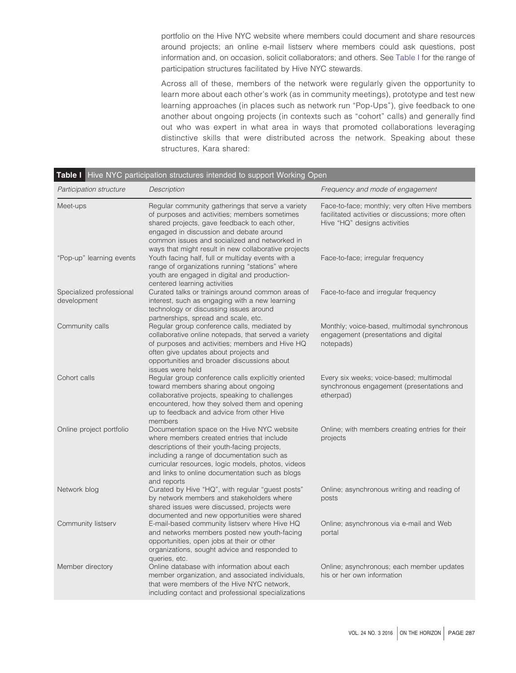portfolio on the Hive NYC website where members could document and share resources around projects; an online e-mail listserv where members could ask questions, post information and, on occasion, solicit collaborators; and others. See [Table I](#page-7-0) for the range of participation structures facilitated by Hive NYC stewards.

Across all of these, members of the network were regularly given the opportunity to learn more about each other's work (as in community meetings), prototype and test new learning approaches (in places such as network run "Pop-Ups"), give feedback to one another about ongoing projects (in contexts such as "cohort" calls) and generally find out who was expert in what area in ways that promoted collaborations leveraging distinctive skills that were distributed across the network. Speaking about these structures, Kara shared:

| Participation structure                 | Description                                                                                                                                                                                                                                                                                                     | Frequency and mode of engagement                                                                                                    |
|-----------------------------------------|-----------------------------------------------------------------------------------------------------------------------------------------------------------------------------------------------------------------------------------------------------------------------------------------------------------------|-------------------------------------------------------------------------------------------------------------------------------------|
| Meet-ups                                | Regular community gatherings that serve a variety<br>of purposes and activities; members sometimes<br>shared projects, gave feedback to each other,<br>engaged in discussion and debate around<br>common issues and socialized and networked in<br>ways that might result in new collaborative projects         | Face-to-face; monthly; very often Hive members<br>facilitated activities or discussions; more often<br>Hive "HQ" designs activities |
| "Pop-up" learning events                | Youth facing half, full or multiday events with a<br>range of organizations running "stations" where<br>youth are engaged in digital and production-<br>centered learning activities                                                                                                                            | Face-to-face; irregular frequency                                                                                                   |
| Specialized professional<br>development | Curated talks or trainings around common areas of<br>interest, such as engaging with a new learning<br>technology or discussing issues around<br>partnerships, spread and scale, etc.                                                                                                                           | Face-to-face and irregular frequency                                                                                                |
| Community calls                         | Regular group conference calls, mediated by<br>collaborative online notepads, that served a variety<br>of purposes and activities; members and Hive HQ<br>often give updates about projects and<br>opportunities and broader discussions about<br>issues were held                                              | Monthly; voice-based, multimodal synchronous<br>engagement (presentations and digital<br>notepads)                                  |
| Cohort calls                            | Regular group conference calls explicitly oriented<br>toward members sharing about ongoing<br>collaborative projects, speaking to challenges<br>encountered, how they solved them and opening<br>up to feedback and advice from other Hive<br>members                                                           | Every six weeks; voice-based; multimodal<br>synchronous engagement (presentations and<br>etherpad)                                  |
| Online project portfolio                | Documentation space on the Hive NYC website<br>where members created entries that include<br>descriptions of their youth-facing projects,<br>including a range of documentation such as<br>curricular resources, logic models, photos, videos<br>and links to online documentation such as blogs<br>and reports | Online; with members creating entries for their<br>projects                                                                         |
| Network blog                            | Curated by Hive "HQ", with regular "guest posts"<br>by network members and stakeholders where<br>shared issues were discussed, projects were                                                                                                                                                                    | Online; asynchronous writing and reading of<br>posts                                                                                |
| Community listserv                      | documented and new opportunities were shared<br>E-mail-based community listserv where Hive HQ<br>and networks members posted new youth-facing<br>opportunities, open jobs at their or other<br>organizations, sought advice and responded to<br>queries, etc.                                                   | Online; asynchronous via e-mail and Web<br>portal                                                                                   |
| Member directory                        | Online database with information about each<br>member organization, and associated individuals,<br>that were members of the Hive NYC network,<br>including contact and professional specializations                                                                                                             | Online; asynchronous; each member updates<br>his or her own information                                                             |

# <span id="page-7-0"></span>**Table I** Hive NYC participation structures intended to support Working Open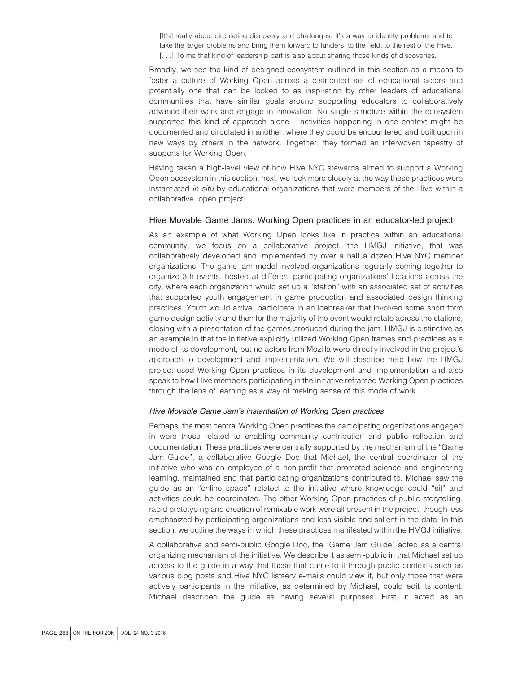[It's] really about circulating discovery and challenges. It's a way to identify problems and to take the larger problems and bring them forward to funders, to the field, to the rest of the Hive. [...] To me that kind of leadership part is also about sharing those kinds of discoveries.

Broadly, we see the kind of designed ecosystem outlined in this section as a means to foster a culture of Working Open across a distributed set of educational actors and potentially one that can be looked to as inspiration by other leaders of educational communities that have similar goals around supporting educators to collaboratively advance their work and engage in innovation. No single structure within the ecosystem supported this kind of approach alone – activities happening in one context might be documented and circulated in another, where they could be encountered and built upon in new ways by others in the network. Together, they formed an interwoven tapestry of supports for Working Open.

Having taken a high-level view of how Hive NYC stewards aimed to support a Working Open ecosystem in this section, next, we look more closely at the way these practices were instantiated *in situ* by educational organizations that were members of the Hive within a collaborative, open project.

# Hive Movable Game Jams: Working Open practices in an educator-led project

As an example of what Working Open looks like in practice within an educational community, we focus on a collaborative project, the HMGJ initiative, that was collaboratively developed and implemented by over a half a dozen Hive NYC member organizations. The game jam model involved organizations regularly coming together to organize 3-h events, hosted at different participating organizations' locations across the city, where each organization would set up a "station" with an associated set of activities that supported youth engagement in game production and associated design thinking practices. Youth would arrive, participate in an icebreaker that involved some short form game design activity and then for the majority of the event would rotate across the stations, closing with a presentation of the games produced during the jam. HMGJ is distinctive as an example in that the initiative explicitly utilized Working Open frames and practices as a mode of its development, but no actors from Mozilla were directly involved in the project's approach to development and implementation. We will describe here how the HMGJ project used Working Open practices in its development and implementation and also speak to how Hive members participating in the initiative reframed Working Open practices through the lens of learning as a way of making sense of this mode of work.

#### *Hive Movable Game Jam's instantiation of Working Open practices*

Perhaps, the most central Working Open practices the participating organizations engaged in were those related to enabling community contribution and public reflection and documentation. These practices were centrally supported by the mechanism of the "Game Jam Guide", a collaborative Google Doc that Michael, the central coordinator of the initiative who was an employee of a non-profit that promoted science and engineering learning, maintained and that participating organizations contributed to. Michael saw the guide as an "online space" related to the initiative where knowledge could "sit" and activities could be coordinated. The other Working Open practices of public storytelling, rapid prototyping and creation of remixable work were all present in the project, though less emphasized by participating organizations and less visible and salient in the data. In this section, we outline the ways in which these practices manifested within the HMGJ initiative.

A collaborative and semi-public Google Doc, the "Game Jam Guide" acted as a central organizing mechanism of the initiative. We describe it as semi-public in that Michael set up access to the guide in a way that those that came to it through public contexts such as various blog posts and Hive NYC listserv e-mails could view it, but only those that were actively participants in the initiative, as determined by Michael, could edit its content. Michael described the guide as having several purposes. First, it acted as an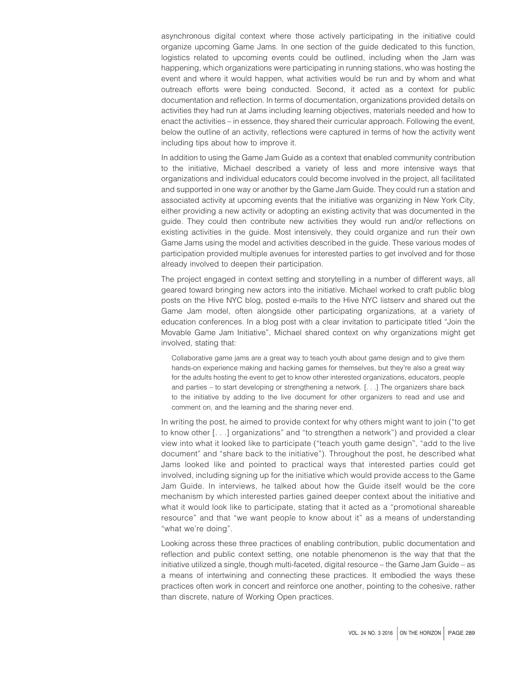asynchronous digital context where those actively participating in the initiative could organize upcoming Game Jams. In one section of the guide dedicated to this function, logistics related to upcoming events could be outlined, including when the Jam was happening, which organizations were participating in running stations, who was hosting the event and where it would happen, what activities would be run and by whom and what outreach efforts were being conducted. Second, it acted as a context for public documentation and reflection. In terms of documentation, organizations provided details on activities they had run at Jams including learning objectives, materials needed and how to enact the activities – in essence, they shared their curricular approach. Following the event, below the outline of an activity, reflections were captured in terms of how the activity went including tips about how to improve it.

In addition to using the Game Jam Guide as a context that enabled community contribution to the initiative, Michael described a variety of less and more intensive ways that organizations and individual educators could become involved in the project, all facilitated and supported in one way or another by the Game Jam Guide. They could run a station and associated activity at upcoming events that the initiative was organizing in New York City, either providing a new activity or adopting an existing activity that was documented in the guide. They could then contribute new activities they would run and/or reflections on existing activities in the guide. Most intensively, they could organize and run their own Game Jams using the model and activities described in the guide. These various modes of participation provided multiple avenues for interested parties to get involved and for those already involved to deepen their participation.

The project engaged in context setting and storytelling in a number of different ways, all geared toward bringing new actors into the initiative. Michael worked to craft public blog posts on the Hive NYC blog, posted e-mails to the Hive NYC listserv and shared out the Game Jam model, often alongside other participating organizations, at a variety of education conferences. In a blog post with a clear invitation to participate titled "Join the Movable Game Jam Initiative", Michael shared context on why organizations might get involved, stating that:

Collaborative game jams are a great way to teach youth about game design and to give them hands-on experience making and hacking games for themselves, but they're also a great way for the adults hosting the event to get to know other interested organizations, educators, people and parties – to start developing or strengthening a network. [. . .] The organizers share back to the initiative by adding to the live document for other organizers to read and use and comment on, and the learning and the sharing never end.

In writing the post, he aimed to provide context for why others might want to join ("to get to know other [. . .] organizations" and "to strengthen a network") and provided a clear view into what it looked like to participate ("teach youth game design", "add to the live document" and "share back to the initiative"). Throughout the post, he described what Jams looked like and pointed to practical ways that interested parties could get involved, including signing up for the initiative which would provide access to the Game Jam Guide. In interviews, he talked about how the Guide itself would be the core mechanism by which interested parties gained deeper context about the initiative and what it would look like to participate, stating that it acted as a "promotional shareable resource" and that "we want people to know about it" as a means of understanding "what we're doing".

Looking across these three practices of enabling contribution, public documentation and reflection and public context setting, one notable phenomenon is the way that that the initiative utilized a single, though multi-faceted, digital resource – the Game Jam Guide – as a means of intertwining and connecting these practices. It embodied the ways these practices often work in concert and reinforce one another, pointing to the cohesive, rather than discrete, nature of Working Open practices.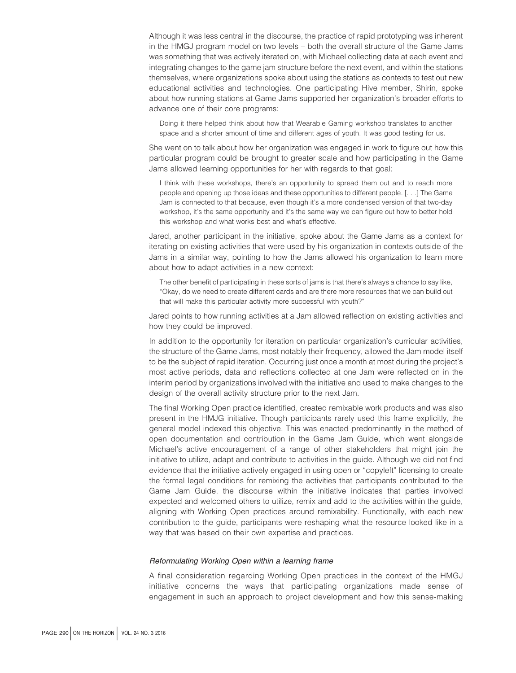Although it was less central in the discourse, the practice of rapid prototyping was inherent in the HMGJ program model on two levels – both the overall structure of the Game Jams was something that was actively iterated on, with Michael collecting data at each event and integrating changes to the game jam structure before the next event, and within the stations themselves, where organizations spoke about using the stations as contexts to test out new educational activities and technologies. One participating Hive member, Shirin, spoke about how running stations at Game Jams supported her organization's broader efforts to advance one of their core programs:

Doing it there helped think about how that Wearable Gaming workshop translates to another space and a shorter amount of time and different ages of youth. It was good testing for us.

She went on to talk about how her organization was engaged in work to figure out how this particular program could be brought to greater scale and how participating in the Game Jams allowed learning opportunities for her with regards to that goal:

I think with these workshops, there's an opportunity to spread them out and to reach more people and opening up those ideas and these opportunities to different people. [. . .] The Game Jam is connected to that because, even though it's a more condensed version of that two-day workshop, it's the same opportunity and it's the same way we can figure out how to better hold this workshop and what works best and what's effective.

Jared, another participant in the initiative, spoke about the Game Jams as a context for iterating on existing activities that were used by his organization in contexts outside of the Jams in a similar way, pointing to how the Jams allowed his organization to learn more about how to adapt activities in a new context:

The other benefit of participating in these sorts of jams is that there's always a chance to say like, "Okay, do we need to create different cards and are there more resources that we can build out that will make this particular activity more successful with youth?"

Jared points to how running activities at a Jam allowed reflection on existing activities and how they could be improved.

In addition to the opportunity for iteration on particular organization's curricular activities, the structure of the Game Jams, most notably their frequency, allowed the Jam model itself to be the subject of rapid iteration. Occurring just once a month at most during the project's most active periods, data and reflections collected at one Jam were reflected on in the interim period by organizations involved with the initiative and used to make changes to the design of the overall activity structure prior to the next Jam.

The final Working Open practice identified, created remixable work products and was also present in the HMJG initiative. Though participants rarely used this frame explicitly, the general model indexed this objective. This was enacted predominantly in the method of open documentation and contribution in the Game Jam Guide, which went alongside Michael's active encouragement of a range of other stakeholders that might join the initiative to utilize, adapt and contribute to activities in the guide. Although we did not find evidence that the initiative actively engaged in using open or "copyleft" licensing to create the formal legal conditions for remixing the activities that participants contributed to the Game Jam Guide, the discourse within the initiative indicates that parties involved expected and welcomed others to utilize, remix and add to the activities within the guide, aligning with Working Open practices around remixability. Functionally, with each new contribution to the guide, participants were reshaping what the resource looked like in a way that was based on their own expertise and practices.

#### *Reformulating Working Open within a learning frame*

A final consideration regarding Working Open practices in the context of the HMGJ initiative concerns the ways that participating organizations made sense of engagement in such an approach to project development and how this sense-making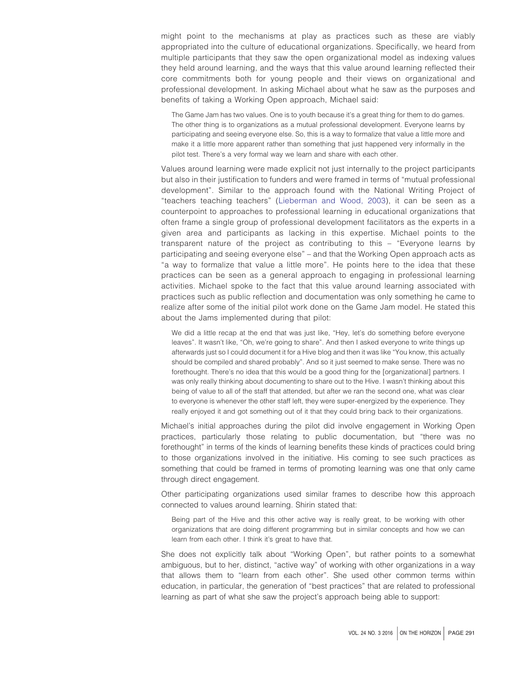might point to the mechanisms at play as practices such as these are viably appropriated into the culture of educational organizations. Specifically, we heard from multiple participants that they saw the open organizational model as indexing values they held around learning, and the ways that this value around learning reflected their core commitments both for young people and their views on organizational and professional development. In asking Michael about what he saw as the purposes and benefits of taking a Working Open approach, Michael said:

The Game Jam has two values. One is to youth because it's a great thing for them to do games. The other thing is to organizations as a mutual professional development. Everyone learns by participating and seeing everyone else. So, this is a way to formalize that value a little more and make it a little more apparent rather than something that just happened very informally in the pilot test. There's a very formal way we learn and share with each other.

Values around learning were made explicit not just internally to the project participants but also in their justification to funders and were framed in terms of "mutual professional development". Similar to the approach found with the National Writing Project of "teachers teaching teachers" [\(Lieberman and Wood, 2003\)](#page-14-15), it can be seen as a counterpoint to approaches to professional learning in educational organizations that often frame a single group of professional development facilitators as the experts in a given area and participants as lacking in this expertise. Michael points to the transparent nature of the project as contributing to this – "Everyone learns by participating and seeing everyone else" – and that the Working Open approach acts as "a way to formalize that value a little more". He points here to the idea that these practices can be seen as a general approach to engaging in professional learning activities. Michael spoke to the fact that this value around learning associated with practices such as public reflection and documentation was only something he came to realize after some of the initial pilot work done on the Game Jam model. He stated this about the Jams implemented during that pilot:

We did a little recap at the end that was just like, "Hey, let's do something before everyone leaves". It wasn't like, "Oh, we're going to share". And then I asked everyone to write things up afterwards just so I could document it for a Hive blog and then it was like "You know, this actually should be compiled and shared probably". And so it just seemed to make sense. There was no forethought. There's no idea that this would be a good thing for the [organizational] partners. I was only really thinking about documenting to share out to the Hive. I wasn't thinking about this being of value to all of the staff that attended, but after we ran the second one, what was clear to everyone is whenever the other staff left, they were super-energized by the experience. They really enjoyed it and got something out of it that they could bring back to their organizations.

Michael's initial approaches during the pilot did involve engagement in Working Open practices, particularly those relating to public documentation, but "there was no forethought" in terms of the kinds of learning benefits these kinds of practices could bring to those organizations involved in the initiative. His coming to see such practices as something that could be framed in terms of promoting learning was one that only came through direct engagement.

Other participating organizations used similar frames to describe how this approach connected to values around learning. Shirin stated that:

Being part of the Hive and this other active way is really great, to be working with other organizations that are doing different programming but in similar concepts and how we can learn from each other. I think it's great to have that.

She does not explicitly talk about "Working Open", but rather points to a somewhat ambiguous, but to her, distinct, "active way" of working with other organizations in a way that allows them to "learn from each other". She used other common terms within education, in particular, the generation of "best practices" that are related to professional learning as part of what she saw the project's approach being able to support: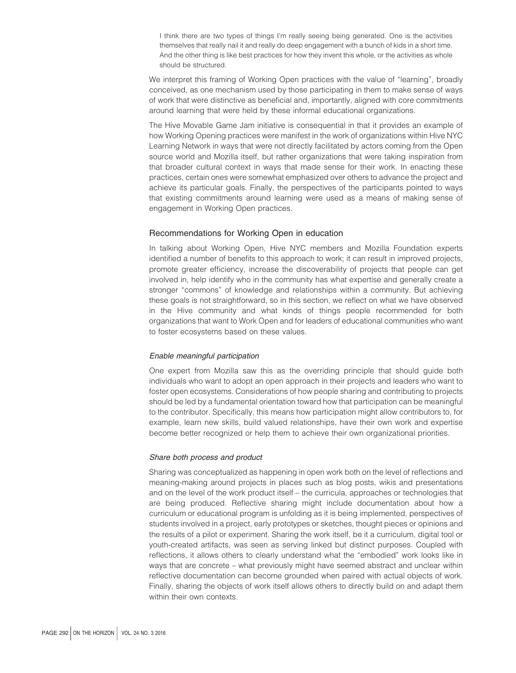I think there are two types of things I'm really seeing being generated. One is the activities themselves that really nail it and really do deep engagement with a bunch of kids in a short time. And the other thing is like best practices for how they invent this whole, or the activities as whole should be structured.

We interpret this framing of Working Open practices with the value of "learning", broadly conceived, as one mechanism used by those participating in them to make sense of ways of work that were distinctive as beneficial and, importantly, aligned with core commitments around learning that were held by these informal educational organizations.

The Hive Movable Game Jam initiative is consequential in that it provides an example of how Working Opening practices were manifest in the work of organizations within Hive NYC Learning Network in ways that were not directly facilitated by actors coming from the Open source world and Mozilla itself, but rather organizations that were taking inspiration from that broader cultural context in ways that made sense for their work. In enacting these practices, certain ones were somewhat emphasized over others to advance the project and achieve its particular goals. Finally, the perspectives of the participants pointed to ways that existing commitments around learning were used as a means of making sense of engagement in Working Open practices.

# Recommendations for Working Open in education

In talking about Working Open, Hive NYC members and Mozilla Foundation experts identified a number of benefits to this approach to work; it can result in improved projects, promote greater efficiency, increase the discoverability of projects that people can get involved in, help identify who in the community has what expertise and generally create a stronger "commons" of knowledge and relationships within a community. But achieving these goals is not straightforward, so in this section, we reflect on what we have observed in the Hive community and what kinds of things people recommended for both organizations that want to Work Open and for leaders of educational communities who want to foster ecosystems based on these values.

#### *Enable meaningful participation*

One expert from Mozilla saw this as the overriding principle that should guide both individuals who want to adopt an open approach in their projects and leaders who want to foster open ecosystems. Considerations of how people sharing and contributing to projects should be led by a fundamental orientation toward how that participation can be meaningful to the contributor. Specifically, this means how participation might allow contributors to, for example, learn new skills, build valued relationships, have their own work and expertise become better recognized or help them to achieve their own organizational priorities.

# *Share both process and product*

Sharing was conceptualized as happening in open work both on the level of reflections and meaning-making around projects in places such as blog posts, wikis and presentations and on the level of the work product itself – the curricula, approaches or technologies that are being produced. Reflective sharing might include documentation about how a curriculum or educational program is unfolding as it is being implemented, perspectives of students involved in a project, early prototypes or sketches, thought pieces or opinions and the results of a pilot or experiment. Sharing the work itself, be it a curriculum, digital tool or youth-created artifacts, was seen as serving linked but distinct purposes. Coupled with reflections, it allows others to clearly understand what the "embodied" work looks like in ways that are concrete – what previously might have seemed abstract and unclear within reflective documentation can become grounded when paired with actual objects of work. Finally, sharing the objects of work itself allows others to directly build on and adapt them within their own contexts.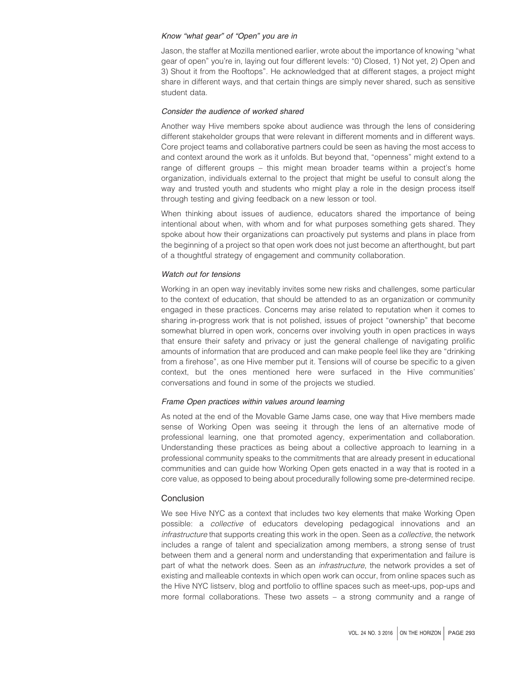# *Know "what gear" of "Open" you are in*

Jason, the staffer at Mozilla mentioned earlier, wrote about the importance of knowing "what gear of open" you're in, laying out four different levels: "0) Closed, 1) Not yet, 2) Open and 3) Shout it from the Rooftops". He acknowledged that at different stages, a project might share in different ways, and that certain things are simply never shared, such as sensitive student data.

# *Consider the audience of worked shared*

Another way Hive members spoke about audience was through the lens of considering different stakeholder groups that were relevant in different moments and in different ways. Core project teams and collaborative partners could be seen as having the most access to and context around the work as it unfolds. But beyond that, "openness" might extend to a range of different groups – this might mean broader teams within a project's home organization, individuals external to the project that might be useful to consult along the way and trusted youth and students who might play a role in the design process itself through testing and giving feedback on a new lesson or tool.

When thinking about issues of audience, educators shared the importance of being intentional about when, with whom and for what purposes something gets shared. They spoke about how their organizations can proactively put systems and plans in place from the beginning of a project so that open work does not just become an afterthought, but part of a thoughtful strategy of engagement and community collaboration.

# *Watch out for tensions*

Working in an open way inevitably invites some new risks and challenges, some particular to the context of education, that should be attended to as an organization or community engaged in these practices. Concerns may arise related to reputation when it comes to sharing in-progress work that is not polished, issues of project "ownership" that become somewhat blurred in open work, concerns over involving youth in open practices in ways that ensure their safety and privacy or just the general challenge of navigating prolific amounts of information that are produced and can make people feel like they are "drinking from a firehose", as one Hive member put it. Tensions will of course be specific to a given context, but the ones mentioned here were surfaced in the Hive communities' conversations and found in some of the projects we studied.

# *Frame Open practices within values around learning*

As noted at the end of the Movable Game Jams case, one way that Hive members made sense of Working Open was seeing it through the lens of an alternative mode of professional learning, one that promoted agency, experimentation and collaboration. Understanding these practices as being about a collective approach to learning in a professional community speaks to the commitments that are already present in educational communities and can guide how Working Open gets enacted in a way that is rooted in a core value, as opposed to being about procedurally following some pre-determined recipe.

# Conclusion

We see Hive NYC as a context that includes two key elements that make Working Open possible: a *collective* of educators developing pedagogical innovations and an *infrastructure* that supports creating this work in the open. Seen as a *collective*, the network includes a range of talent and specialization among members, a strong sense of trust between them and a general norm and understanding that experimentation and failure is part of what the network does. Seen as an *infrastructure*, the network provides a set of existing and malleable contexts in which open work can occur, from online spaces such as the Hive NYC listserv, blog and portfolio to offline spaces such as meet-ups, pop-ups and more formal collaborations. These two assets – a strong community and a range of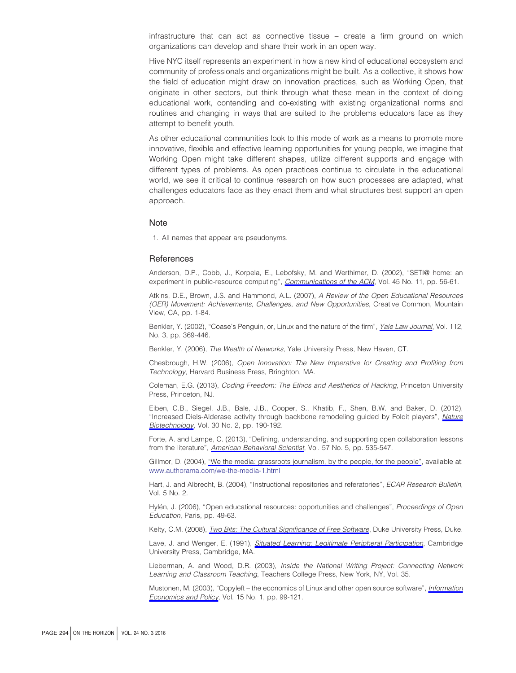infrastructure that can act as connective tissue – create a firm ground on which organizations can develop and share their work in an open way.

Hive NYC itself represents an experiment in how a new kind of educational ecosystem and community of professionals and organizations might be built. As a collective, it shows how the field of education might draw on innovation practices, such as Working Open, that originate in other sectors, but think through what these mean in the context of doing educational work, contending and co-existing with existing organizational norms and routines and changing in ways that are suited to the problems educators face as they attempt to benefit youth.

As other educational communities look to this mode of work as a means to promote more innovative, flexible and effective learning opportunities for young people, we imagine that Working Open might take different shapes, utilize different supports and engage with different types of problems. As open practices continue to circulate in the educational world, we see it critical to continue research on how such processes are adapted, what challenges educators face as they enact them and what structures best support an open approach.

#### Note

<span id="page-14-14"></span>1. All names that appear are pseudonyms.

# **References**

<span id="page-14-9"></span>Anderson, D.P., Cobb, J., Korpela, E., Lebofsky, M. and Werthimer, D. (2002), "SETI@ home: an experiment in public-resource computing", *[Communications of the ACM](http://www.emeraldinsight.com/action/showLinks?crossref=10.1145%2F581571.581573&isi=000178820900020)*, Vol. 45 No. 11, pp. 56-61.

<span id="page-14-2"></span>Atkins, D.E., Brown, J.S. and Hammond, A.L. (2007), *A Review of the Open Educational Resources (OER) Movement: Achievements, Challenges, and New Opportunities*, Creative Common, Mountain View, CA, pp. 1-84.

<span id="page-14-6"></span>Benkler, Y. (2002), "Coase's Penguin, or, Linux and the nature of the firm", *[Yale Law Journal](http://www.emeraldinsight.com/action/showLinks?crossref=10.2307%2F1562247&isi=000180062600001)*, Vol. 112, No. 3, pp. 369-446.

<span id="page-14-7"></span>Benkler, Y. (2006), *The Wealth of Networks*, Yale University Press, New Haven, CT.

<span id="page-14-12"></span>Chesbrough, H.W. (2006), *Open Innovation: The New Imperative for Creating and Profiting from Technology*, Harvard Business Press, Bringhton, MA.

<span id="page-14-1"></span>Coleman, E.G. (2013), *Coding Freedom: The Ethics and Aesthetics of Hacking*, Princeton University Press, Princeton, NJ.

<span id="page-14-10"></span>Eiben, C.B., Siegel, J.B., Bale, J.B., Cooper, S., Khatib, F., Shen, B.W. and Baker, D. (2012), "Increased Diels-Alderase activity through backbone remodeling guided by Foldit players", *[Nature](http://www.emeraldinsight.com/action/showLinks?crossref=10.1038%2Fnbt.2109&isi=000300269100023) [Biotechnology](http://www.emeraldinsight.com/action/showLinks?crossref=10.1038%2Fnbt.2109&isi=000300269100023)*, Vol. 30 No. 2, pp. 190-192.

<span id="page-14-5"></span>Forte, A. and Lampe, C. (2013), "Defining, understanding, and supporting open collaboration lessons from the literature", *[American Behavioral Scientist](http://www.emeraldinsight.com/action/showLinks?crossref=10.1177%2F0002764212469362&isi=000323115600001)*, Vol. 57 No. 5, pp. 535-547.

<span id="page-14-11"></span>Gillmor, D. (2004), ["We the media: grassroots journalism, by the people, for the people"](http://www.emeraldinsight.com/action/showLinks?crossref=10.1145%2F1012807.1012808), available at: [www.authorama.com/we-the-media-1.html](http://www.authorama.com/we-the-media-1.html)

<span id="page-14-13"></span>Hart, J. and Albrecht, B. (2004), "Instructional repositories and referatories", *ECAR Research Bulletin*, Vol. 5 No. 2.

<span id="page-14-3"></span>Hylén, J. (2006), "Open educational resources: opportunities and challenges", *Proceedings of Open Education*, Paris, pp. 49-63.

<span id="page-14-4"></span>Kelty, C.M. (2008), *Iwo Bits: The Cultural Significance of Free Software*, Duke University Press, Duke.

<span id="page-14-0"></span>Lave, J. and Wenger, E. (1991), *[Situated Learning: Legitimate Peripheral Participation](http://www.emeraldinsight.com/action/showLinks?crossref=10.1017%2FCBO9780511815355)*, Cambridge University Press, Cambridge, MA.

<span id="page-14-15"></span>Lieberman, A. and Wood, D.R. (2003), *Inside the National Writing Project: Connecting Network Learning and Classroom Teaching*, Teachers College Press, New York, NY, Vol. 35.

<span id="page-14-8"></span>Mustonen, M. (2003), "Copyleft – the economics of Linux and other open source software", *[Information](http://www.emeraldinsight.com/action/showLinks?crossref=10.1016%2FS0167-6245%2802%2900090-2&isi=000182129200006) [Economics and Policy](http://www.emeraldinsight.com/action/showLinks?crossref=10.1016%2FS0167-6245%2802%2900090-2&isi=000182129200006)*, Vol. 15 No. 1, pp. 99-121.